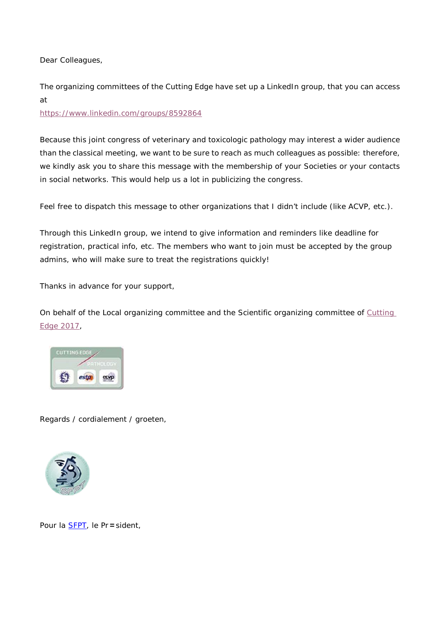Dear Colleagues,

The organizing committees of the Cutting Edge have set up a LinkedIn group, that you can access at

<https://www.linkedin.com/groups/8592864>

Because this joint congress of veterinary and toxicologic pathology may interest a wider audience than the classical meeting, we want to be sure to reach as much colleagues as possible: therefore, we kindly ask you to share this message with the membership of your Societies or your contacts in social networks. This would help us a lot in publicizing the congress.

Feel free to dispatch this message to other organizations that I didn't include (like ACVP, etc.).

Through this LinkedIn group, we intend to give information and reminders like deadline for registration, practical info, etc. The members who want to join must be accepted by the group admins, who will make sure to treat the registrations quickly!

Thanks in advance for your support,

On behalf of the Local organizing committee and the Scientific organizing committee of Cutting [Edge 2017,](https://cuttingedgepathology.eu/)



Regards / cordialement / groeten,



Pour la [SFPT,](x-msg://5/toxpathfrance.org) le Pr=sident,